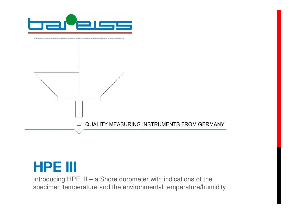

# **HPE III**

Introducing HPE III – a Shore durometer with indications of the specimen temperature and the environmental temperature/humidity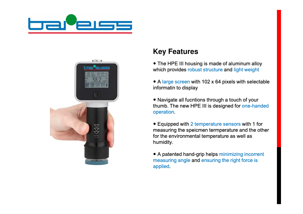



## **Key Features**

- The HPE III housing is made of aluminum alloy which provides robust structure and light weight
- A large screen with 102 x 64 pixels with selectable informatin to display
- Navigate all fucntions through a touch of your thumb. The new HPE III is designed for one-handed operation.
- Equipped with 2 temperature sensors with 1 for measuring the speicmen termperature and the other for the environmental temperature as well as humidity.
- A patented hand-grip helps minimizing incorrent measuring angle and ensuring the right force is applied.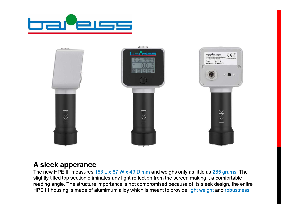



### **A sleek apperance**

The new HPE III measures  $153 L \times 67 W \times 43 D$  mm and weighs only as little as 285 grams. The slightly tilted top section eliminates any light reflection from the screen making it a comfortable reading angle. The structure importance is not compromised because of its sleek design, the enitre HPE III housing is made of alumimum alloy which is meant to provide light weight and robustness.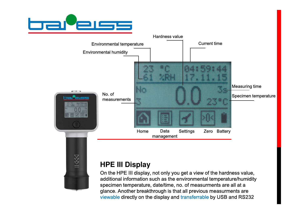

 $11$ 



## **HPE III Display**

On the HPE III display, not only you get a view of the hardness value, additional information such as the environmental temperature/humidity specimen temperature, date/time, no. of measurments are all at a glance. Another breakthrough is that all previous measurments are viewable directly on the display and transferrable by USB and RS232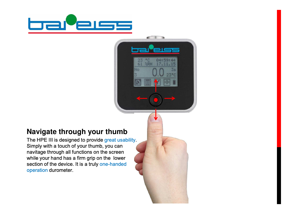

 $\frac{1}{2R}$ 

 $rac{23}{61}$ 

No.

# **Navigate through your thumb**

The HPE III is designed to provide great usability. Simply with a touch of your thumb, you can navitage through all functions on the screen while your hand has a firm grip on the lower section of the device. It is a truly one-handed operation durometer.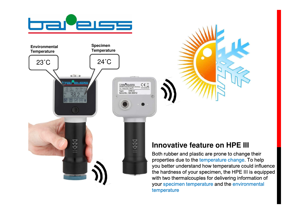





## **Innovative feature on HPE III**

Both rubber and plastic are prone to change their properties due to the temperature change. To help you better understand how temperature could influence the hardness of your specimen, the HPE III is equipped with two thermalcouples for delivering information of your specimen temperature and the environmental temperature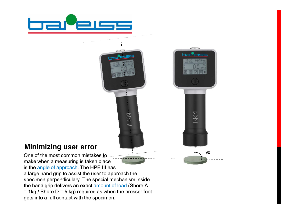

### **Minimizing user error**

One of the most common mistake s t o make when a measuring is taken place is the angle of approach. The HPE III has a large hand grip to assist the user to approach th a large hand grip to assist the user to approach the<br>specimen perpendiculary. The special mechanism insid the hand grip delivers an exact amount of load (Shore A = 1kg / Shore  $D = 5$  kg) required as when the presser foot gets into a full contact with the specimen.

 $H44$ 

9 0 ˚

1444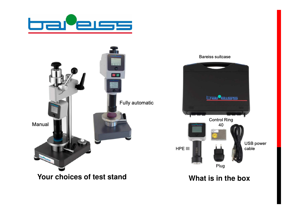



#### Bareiss suitcase



**What is in the box**